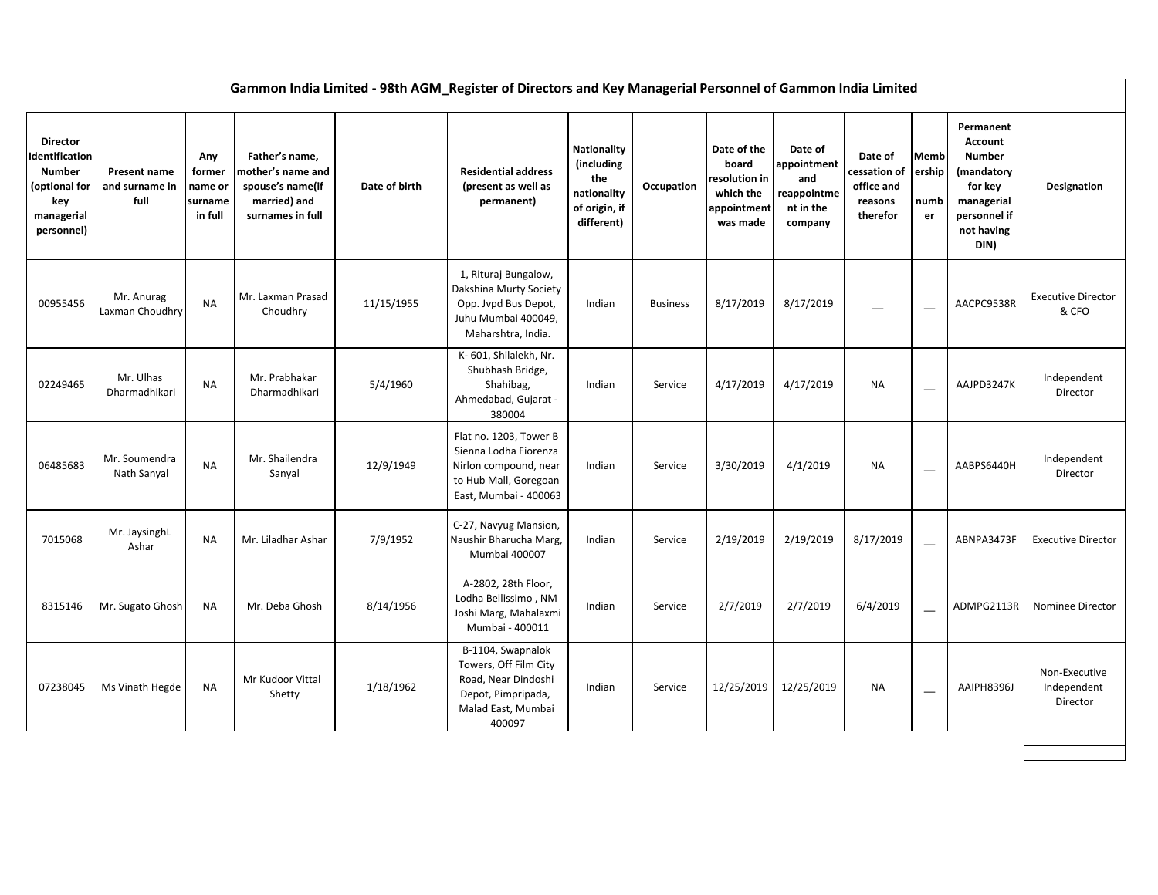## **Gammon India Limited - 98th AGM\_Register of Directors and Key Managerial Personnel of Gammon India Limited**

| <b>Director</b><br>Identification<br><b>Number</b><br>(optional for<br>key<br>managerial<br>personnel) | Present name<br>and surname in<br>full | Any<br>former<br>name or<br>surname<br>in full | Father's name,<br>mother's name and<br>spouse's name(if<br>married) and<br>surnames in full | Date of birth | <b>Residential address</b><br>(present as well as<br>permanent)                                                            | <b>Nationality</b><br>(including<br>the<br>nationality<br>of origin, if<br>different) | Occupation      | Date of the<br>board<br>resolution in<br>which the<br>appointment<br>was made | Date of<br>appointment<br>and<br>reappointme<br>nt in the<br>company | Date of<br>cessation of<br>office and<br>reasons<br>therefor | <b>Memb</b><br>ership<br>numb<br>er | Permanent<br>Account<br><b>Number</b><br>(mandatory<br>for key<br>managerial<br>personnel if<br>not having<br>DIN) | Designation                              |
|--------------------------------------------------------------------------------------------------------|----------------------------------------|------------------------------------------------|---------------------------------------------------------------------------------------------|---------------|----------------------------------------------------------------------------------------------------------------------------|---------------------------------------------------------------------------------------|-----------------|-------------------------------------------------------------------------------|----------------------------------------------------------------------|--------------------------------------------------------------|-------------------------------------|--------------------------------------------------------------------------------------------------------------------|------------------------------------------|
| 00955456                                                                                               | Mr. Anurag<br>Laxman Choudhry          | <b>NA</b>                                      | Mr. Laxman Prasad<br>Choudhry                                                               | 11/15/1955    | 1, Rituraj Bungalow,<br>Dakshina Murty Society<br>Opp. Jvpd Bus Depot,<br>Juhu Mumbai 400049,<br>Maharshtra, India.        | Indian                                                                                | <b>Business</b> | 8/17/2019                                                                     | 8/17/2019                                                            |                                                              |                                     | AACPC9538R                                                                                                         | <b>Executive Director</b><br>& CFO       |
| 02249465                                                                                               | Mr. Ulhas<br>Dharmadhikari             | <b>NA</b>                                      | Mr. Prabhakar<br>Dharmadhikari                                                              | 5/4/1960      | K- 601, Shilalekh, Nr.<br>Shubhash Bridge,<br>Shahibag,<br>Ahmedabad, Gujarat -<br>380004                                  | Indian                                                                                | Service         | 4/17/2019                                                                     | 4/17/2019                                                            | <b>NA</b>                                                    | $\overline{\phantom{0}}$            | AAJPD3247K                                                                                                         | Independent<br>Director                  |
| 06485683                                                                                               | Mr. Soumendra<br>Nath Sanyal           | <b>NA</b>                                      | Mr. Shailendra<br>Sanyal                                                                    | 12/9/1949     | Flat no. 1203, Tower B<br>Sienna Lodha Fiorenza<br>Nirlon compound, near<br>to Hub Mall, Goregoan<br>East, Mumbai - 400063 | Indian                                                                                | Service         | 3/30/2019                                                                     | 4/1/2019                                                             | <b>NA</b>                                                    | $\overline{\phantom{0}}$            | AABPS6440H                                                                                                         | Independent<br>Director                  |
| 7015068                                                                                                | Mr. JaysinghL<br>Ashar                 | <b>NA</b>                                      | Mr. Liladhar Ashar                                                                          | 7/9/1952      | C-27, Navyug Mansion,<br>Naushir Bharucha Marg,<br>Mumbai 400007                                                           | Indian                                                                                | Service         | 2/19/2019                                                                     | 2/19/2019                                                            | 8/17/2019                                                    | $\overline{\phantom{0}}$            | ABNPA3473F                                                                                                         | <b>Executive Director</b>                |
| 8315146                                                                                                | Mr. Sugato Ghosh                       | <b>NA</b>                                      | Mr. Deba Ghosh                                                                              | 8/14/1956     | A-2802, 28th Floor,<br>Lodha Bellissimo, NM<br>Joshi Marg, Mahalaxmi<br>Mumbai - 400011                                    | Indian                                                                                | Service         | 2/7/2019                                                                      | 2/7/2019                                                             | 6/4/2019                                                     | $\overline{\phantom{0}}$            | ADMPG2113R                                                                                                         | Nominee Director                         |
| 07238045                                                                                               | Ms Vinath Hegde                        | <b>NA</b>                                      | Mr Kudoor Vittal<br>Shetty                                                                  | 1/18/1962     | B-1104, Swapnalok<br>Towers, Off Film City<br>Road, Near Dindoshi<br>Depot, Pimpripada,<br>Malad East, Mumbai<br>400097    | Indian                                                                                | Service         | 12/25/2019                                                                    | 12/25/2019                                                           | <b>NA</b>                                                    |                                     | AAIPH8396J                                                                                                         | Non-Executive<br>Independent<br>Director |
|                                                                                                        |                                        |                                                |                                                                                             |               |                                                                                                                            |                                                                                       |                 |                                                                               |                                                                      |                                                              |                                     |                                                                                                                    |                                          |